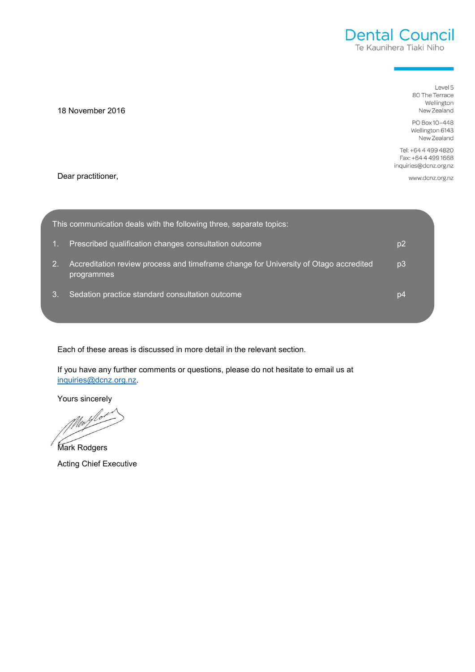# **Dental Council** Te Kaunihera Tiaki Niho

Level 5 80 The Terrace Wellington New Zealand

PO Box 10-448 Wellington 6143 New Zealand

Tel: +64 4 499 4820 Fax: +64 4 499 1668 inquiries@dcnz.org.nz

www.dcnz.org.nz

Dear practitioner,

18 November 2016

| This communication deals with the following three, separate topics: |                                                                                                    |    |
|---------------------------------------------------------------------|----------------------------------------------------------------------------------------------------|----|
|                                                                     | Prescribed qualification changes consultation outcome                                              | p2 |
| 2.                                                                  | Accreditation review process and timeframe change for University of Otago accredited<br>programmes | p3 |
| 3.                                                                  | Sedation practice standard consultation outcome                                                    | p4 |
|                                                                     |                                                                                                    |    |

Each of these areas is discussed in more detail in the relevant section.

If you have any further comments or questions, please do not hesitate to email us at [inquiries@dcnz.org.nz.](mailto:inquiries@dcnz.org.nz)

Yours sincerely

Mark Rodgers Acting Chief Executive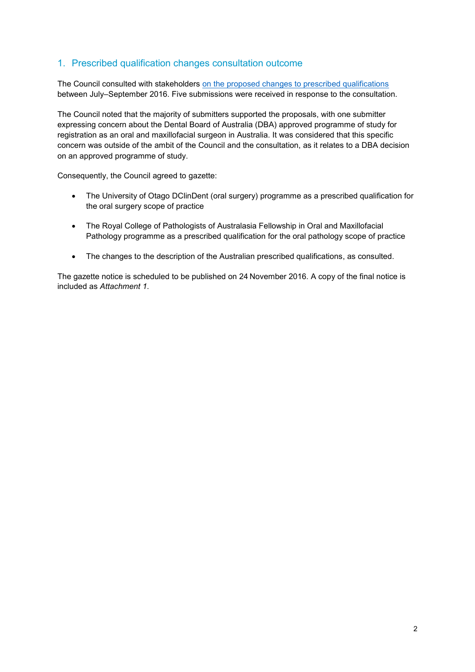# 1. Prescribed qualification changes consultation outcome

The Council consulted with stakeholders [on the proposed changes to prescribed qualifications](http://dcnz.org.nz/assets/Uploads/Consultations/2016/Consultation-document-oral-surgery-oral-pathology-DBA-changesJul16.pdf) between July–September 2016. Five submissions were received in response to the consultation.

The Council noted that the majority of submitters supported the proposals, with one submitter expressing concern about the Dental Board of Australia (DBA) approved programme of study for registration as an oral and maxillofacial surgeon in Australia. It was considered that this specific concern was outside of the ambit of the Council and the consultation, as it relates to a DBA decision on an approved programme of study.

Consequently, the Council agreed to gazette:

- The University of Otago DClinDent (oral surgery) programme as a prescribed qualification for the oral surgery scope of practice
- The Royal College of Pathologists of Australasia Fellowship in Oral and Maxillofacial Pathology programme as a prescribed qualification for the oral pathology scope of practice
- The changes to the description of the Australian prescribed qualifications, as consulted.

The gazette notice is scheduled to be published on 24 November 2016. A copy of the final notice is included as *Attachment 1*.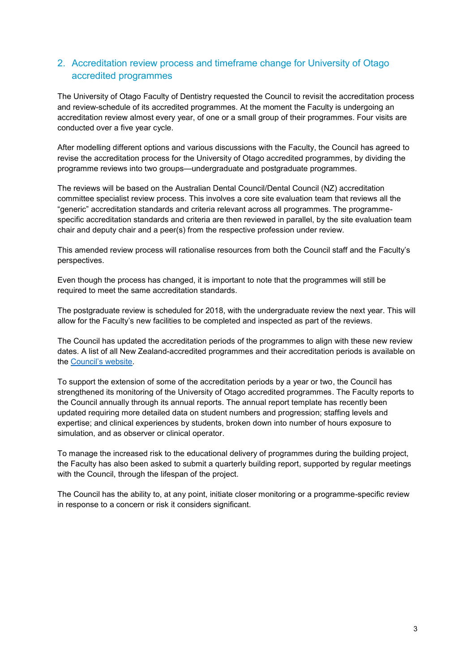# 2. Accreditation review process and timeframe change for University of Otago accredited programmes

The University of Otago Faculty of Dentistry requested the Council to revisit the accreditation process and review-schedule of its accredited programmes. At the moment the Faculty is undergoing an accreditation review almost every year, of one or a small group of their programmes. Four visits are conducted over a five year cycle.

After modelling different options and various discussions with the Faculty, the Council has agreed to revise the accreditation process for the University of Otago accredited programmes, by dividing the programme reviews into two groups—undergraduate and postgraduate programmes.

The reviews will be based on the Australian Dental Council/Dental Council (NZ) accreditation committee specialist review process. This involves a core site evaluation team that reviews all the "generic" accreditation standards and criteria relevant across all programmes. The programmespecific accreditation standards and criteria are then reviewed in parallel, by the site evaluation team chair and deputy chair and a peer(s) from the respective profession under review.

This amended review process will rationalise resources from both the Council staff and the Faculty's perspectives.

Even though the process has changed, it is important to note that the programmes will still be required to meet the same accreditation standards.

The postgraduate review is scheduled for 2018, with the undergraduate review the next year. This will allow for the Faculty's new facilities to be completed and inspected as part of the reviews.

The Council has updated the accreditation periods of the programmes to align with these new review dates. A list of all New Zealand-accredited programmes and their accreditation periods is available on the [Council's website](http://dcnz.org.nz/assets/Uploads/Accreditation-standards/Accreditation-Status-of-NZ-Oral-Health-Qualification-Programmes.pdf).

To support the extension of some of the accreditation periods by a year or two, the Council has strengthened its monitoring of the University of Otago accredited programmes. The Faculty reports to the Council annually through its annual reports. The annual report template has recently been updated requiring more detailed data on student numbers and progression; staffing levels and expertise; and clinical experiences by students, broken down into number of hours exposure to simulation, and as observer or clinical operator.

To manage the increased risk to the educational delivery of programmes during the building project, the Faculty has also been asked to submit a quarterly building report, supported by regular meetings with the Council, through the lifespan of the project.

The Council has the ability to, at any point, initiate closer monitoring or a programme-specific review in response to a concern or risk it considers significant.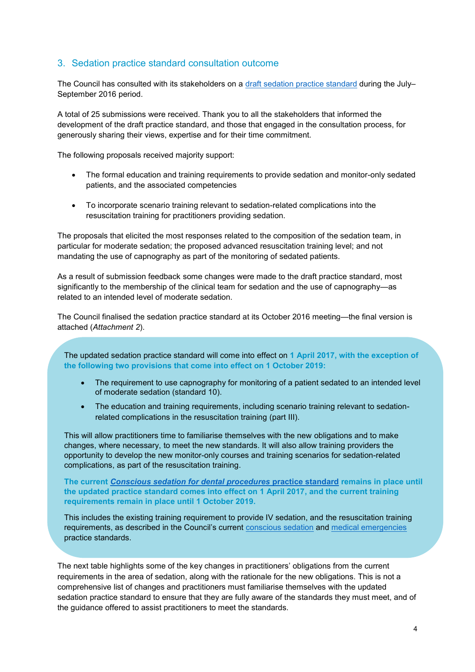## 3. Sedation practice standard consultation outcome

The Council has consulted with its stakeholders on a [draft sedation practice standard](http://dcnz.org.nz/resources-and-publications/publications/closed-consultations/) during the July-September 2016 period.

A total of 25 submissions were received. Thank you to all the stakeholders that informed the development of the draft practice standard, and those that engaged in the consultation process, for generously sharing their views, expertise and for their time commitment.

The following proposals received majority support:

- The formal education and training requirements to provide sedation and monitor-only sedated patients, and the associated competencies
- To incorporate scenario training relevant to sedation-related complications into the resuscitation training for practitioners providing sedation.

The proposals that elicited the most responses related to the composition of the sedation team, in particular for moderate sedation; the proposed advanced resuscitation training level; and not mandating the use of capnography as part of the monitoring of sedated patients.

As a result of submission feedback some changes were made to the draft practice standard, most significantly to the membership of the clinical team for sedation and the use of capnography—as related to an intended level of moderate sedation.

The Council finalised the sedation practice standard at its October 2016 meeting—the final version is attached (*Attachment 2*).

The updated sedation practice standard will come into effect on **1 April 2017, with the exception of the following two provisions that come into effect on 1 October 2019:**

- The requirement to use capnography for monitoring of a patient sedated to an intended level of moderate sedation (standard 10).
- The education and training requirements, including scenario training relevant to sedationrelated complications in the resuscitation training (part III).

This will allow practitioners time to familiarise themselves with the new obligations and to make changes, where necessary, to meet the new standards. It will also allow training providers the opportunity to develop the new monitor-only courses and training scenarios for sedation-related complications, as part of the resuscitation training.

**The current** *[Conscious sedation for dental procedures](http://dcnz.org.nz/assets/Uploads/Practice-standards/Dentistry/Conscious-sedation.pdf)* **practice standard remains in place until the updated practice standard comes into effect on 1 April 2017, and the current training requirements remain in place until 1 October 2019.**

This includes the existing training requirement to provide IV sedation, and the resuscitation training requirements, as described in the Council's current [conscious sedation](http://dcnz.org.nz/assets/Uploads/Practice-standards/Dentistry/Conscious-sedation.pdf) and [medical emergencies](http://dcnz.org.nz/assets/Uploads/Practice-standards/Medical-Emergencies.pdf) practice standards.

The next table highlights some of the key changes in practitioners' obligations from the current requirements in the area of sedation, along with the rationale for the new obligations. This is not a comprehensive list of changes and practitioners must familiarise themselves with the updated sedation practice standard to ensure that they are fully aware of the standards they must meet, and of the guidance offered to assist practitioners to meet the standards.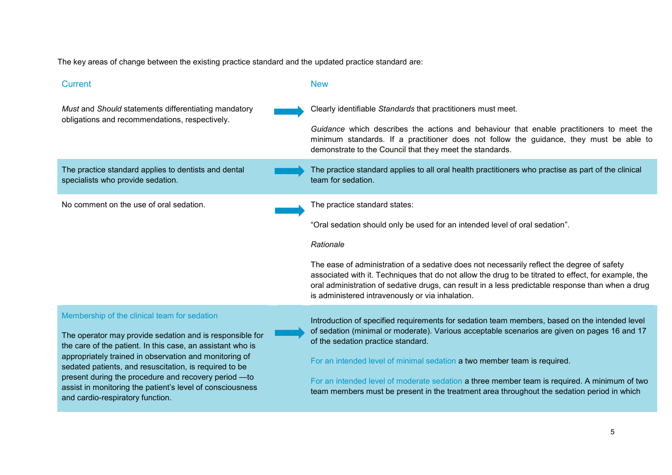The key areas of change between the existing practice standard and the updated practice standard are:

## **Current New Service Current Act 2018**

Clearly identifiable *Standards* that practitioners must meet.

*Guidance* which describes the actions and behaviour that enable practitioners to meet the minimum standards. If a practitioner does not follow the guidance, they must be able to demonstrate to the Council that they meet the standards.

The practice standard applies to all oral health practitioners who practise as part of the clinical

The practice standard applies to dentists and dental specialists who provide sedation.

*Must* and *Should* statements differentiating mandatory obligations and recommendations, respectively.

No comment on the use of oral sedation. The practice standard states:

"Oral sedation should only be used for an intended level of oral sedation".

#### *Rationale*

team for sedation.

The ease of administration of a sedative does not necessarily reflect the degree of safety associated with it. Techniques that do not allow the drug to be titrated to effect, for example, the oral administration of sedative drugs, can result in a less predictable response than when a drug is administered intravenously or via inhalation.

#### Membership of the clinical team for sedation

The operator may provide sedation and is responsible for the care of the patient. In this case, an assistant who is appropriately trained in observation and monitoring of sedated patients, and resuscitation, is required to be present during the procedure and recovery period —to assist in monitoring the patient's level of consciousness and cardio-respiratory function.

Introduction of specified requirements for sedation team members, based on the intended level of sedation (minimal or moderate). Various acceptable scenarios are given on pages 16 and 17 of the sedation practice standard.

For an intended level of minimal sedation a two member team is required.

For an intended level of moderate sedation a three member team is required. A minimum of two team members must be present in the treatment area throughout the sedation period in which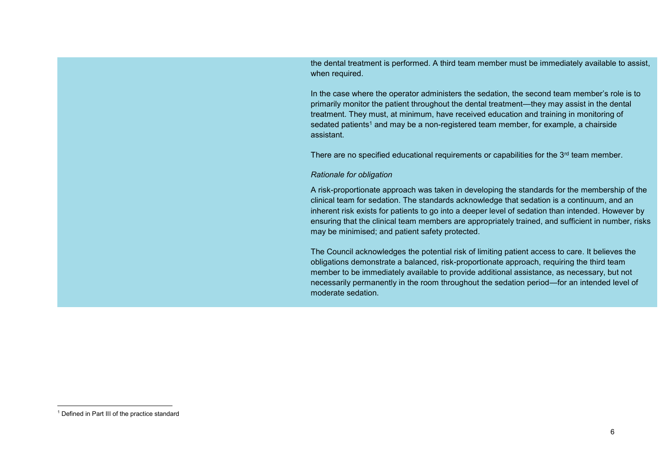the dental treatment is performed. A third team member must be immediately available to assist, when required.

In the case where the operator administers the sedation, the second team member's role is to primarily monitor the patient throughout the dental treatment—they may assist in the dental treatment. They must, at minimum, have received education and training in monitoring of sedated patients<sup>1</sup> and may be a non-registered team member, for example, a chairside assistant.

There are no specified educational requirements or capabilities for the  $3<sup>rd</sup>$  team member.

#### *Rationale for obligation*

A risk-proportionate approach was taken in developing the standards for the membership of the clinical team for sedation. The standards acknowledge that sedation is a continuum, and an inherent risk exists for patients to go into a deeper level of sedation than intended. However by ensuring that the clinical team members are appropriately trained, and sufficient in number, risks may be minimised; and patient safety protected.

The Council acknowledges the potential risk of limiting patient access to care. It believes the obligations demonstrate a balanced, risk-proportionate approach, requiring the third team member to be immediately available to provide additional assistance, as necessary, but not necessarily permanently in the room throughout the sedation period—for an intended level of moderate sedation.

 $\overline{\phantom{a}}$ 

<sup>&</sup>lt;sup>1</sup> Defined in Part III of the practice standard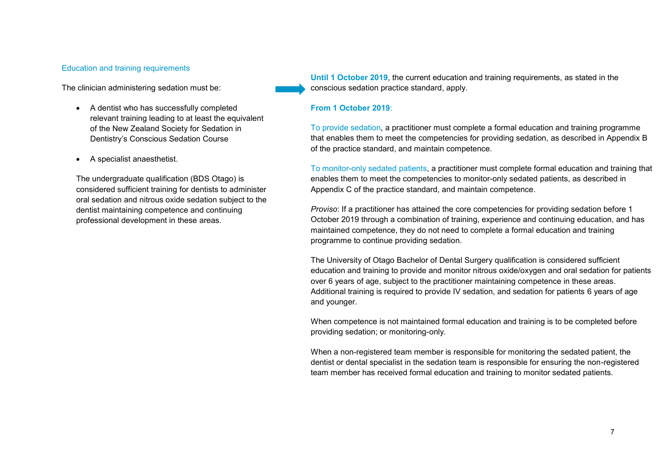#### Education and training requirements

The clinician administering sedation must be:

- A dentist who has successfully completed relevant training leading to at least the equivalent of the New Zealand Society for Sedation in Dentistry's Conscious Sedation Course
- A specialist anaesthetist.

The undergraduate qualification (BDS Otago) is considered sufficient training for dentists to administer oral sedation and nitrous oxide sedation subject to the dentist maintaining competence and continuing professional development in these areas.

**Until 1 October 2019**, the current education and training requirements, as stated in the conscious sedation practice standard, apply.

#### **From 1 October 2019**:

To provide sedation, a practitioner must complete a formal education and training programme that enables them to meet the competencies for providing sedation, as described in Appendix B of the practice standard, and maintain competence.

To monitor-only sedated patients, a practitioner must complete formal education and training that enables them to meet the competencies to monitor-only sedated patients, as described in Appendix C of the practice standard, and maintain competence.

*Proviso*: If a practitioner has attained the core competencies for providing sedation before 1 October 2019 through a combination of training, experience and continuing education, and has maintained competence, they do not need to complete a formal education and training programme to continue providing sedation.

The University of Otago Bachelor of Dental Surgery qualification is considered sufficient education and training to provide and monitor nitrous oxide/oxygen and oral sedation for patients over 6 years of age, subject to the practitioner maintaining competence in these areas. Additional training is required to provide IV sedation, and sedation for patients 6 years of age and younger.

When competence is not maintained formal education and training is to be completed before providing sedation; or monitoring-only.

When a non-registered team member is responsible for monitoring the sedated patient, the dentist or dental specialist in the sedation team is responsible for ensuring the non-registered team member has received formal education and training to monitor sedated patients.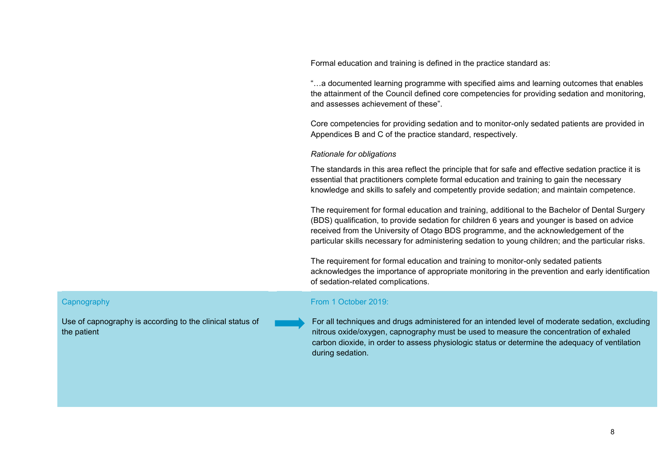Formal education and training is defined in the practice standard as:

"…a documented learning programme with specified aims and learning outcomes that enables the attainment of the Council defined core competencies for providing sedation and monitoring, and assesses achievement of these".

Core competencies for providing sedation and to monitor-only sedated patients are provided in Appendices B and C of the practice standard, respectively.

#### *Rationale for obligations*

The standards in this area reflect the principle that for safe and effective sedation practice it is essential that practitioners complete formal education and training to gain the necessary knowledge and skills to safely and competently provide sedation; and maintain competence.

The requirement for formal education and training, additional to the Bachelor of Dental Surgery (BDS) qualification, to provide sedation for children 6 years and younger is based on advice received from the University of Otago BDS programme, and the acknowledgement of the particular skills necessary for administering sedation to young children; and the particular risks.

The requirement for formal education and training to monitor-only sedated patients acknowledges the importance of appropriate monitoring in the prevention and early identification of sedation-related complications.

#### From 1 October 2019:

Use of capnography is according to the clinical status of the patient

**Capnography** 

For all techniques and drugs administered for an intended level of moderate sedation, excluding nitrous oxide/oxygen, capnography must be used to measure the concentration of exhaled carbon dioxide, in order to assess physiologic status or determine the adequacy of ventilation during sedation.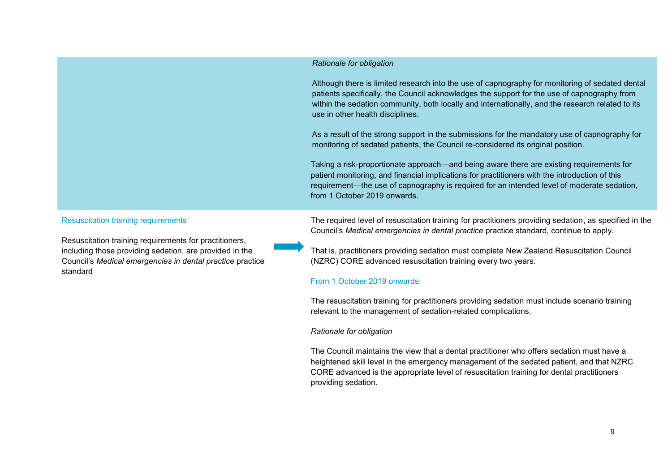#### *Rationale for obligation*

Although there is limited research into the use of capnography for monitoring of sedated dental patients specifically, the Council acknowledges the support for the use of capnography from within the sedation community, both locally and internationally, and the research related to its use in other health disciplines.

As a result of the strong support in the submissions for the mandatory use of capnography for monitoring of sedated patients, the Council re-considered its original position.

Taking a risk-proportionate approach—and being aware there are existing requirements for patient monitoring, and financial implications for practitioners with the introduction of this requirement—the use of capnography is required for an intended level of moderate sedation, from 1 October 2019 onwards.

#### Resuscitation training requirements

Resuscitation training requirements for practitioners, including those providing sedation, are provided in the Council's *Medical emergencies in dental practice* practice standard

The required level of resuscitation training for practitioners providing sedation, as specified in the Council's *Medical emergencies in dental practice* practice standard*,* continue to apply.

That is, practitioners providing sedation must complete New Zealand Resuscitation Council (NZRC) CORE advanced resuscitation training every two years.

### From 1 October 2019 onwards:

The resuscitation training for practitioners providing sedation must include scenario training relevant to the management of sedation-related complications.

#### *Rationale for obligation*

The Council maintains the view that a dental practitioner who offers sedation must have a heightened skill level in the emergency management of the sedated patient, and that NZRC CORE advanced is the appropriate level of resuscitation training for dental practitioners providing sedation.